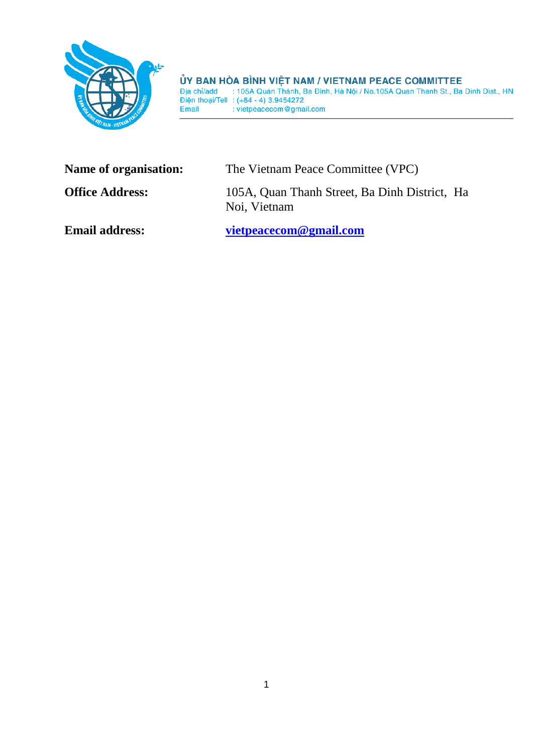

**ỦY BAN HÒA BÌNH VIỆT NAM / VIETNAM PEACE COMMITTEE**<br>
Dịa chỉ/add : 105A Quán Thánh, Ba Đình, Hà Nội / No.105A Quan Thanh St., Ba Dinh Dist., HN<br>
Diện thoại/Tell : (+84 - 4) 3.9454272<br>
Email

| Name of organisation:  | The Vietnam Peace Committee (VPC)                             |
|------------------------|---------------------------------------------------------------|
| <b>Office Address:</b> | 105A, Quan Thanh Street, Ba Dinh District, Ha<br>Noi, Vietnam |
| <b>Email address:</b>  | vietpeacecom@gmail.com                                        |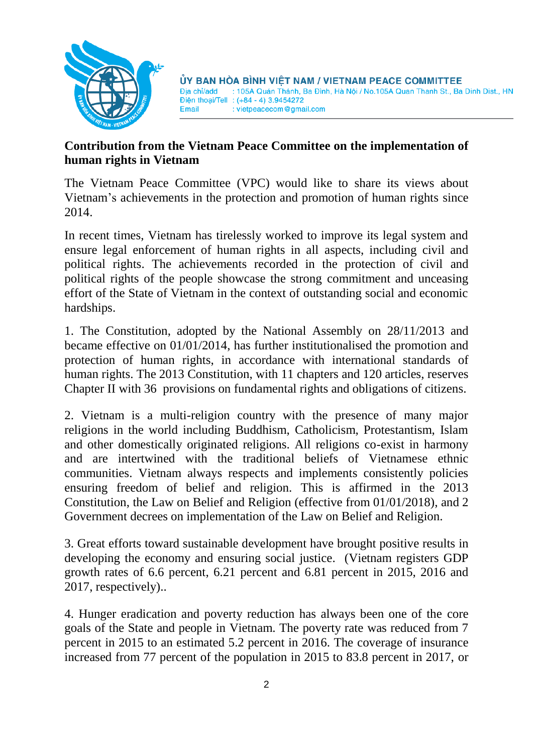

## **Contribution from the Vietnam Peace Committee on the implementation of human rights in Vietnam**

The Vietnam Peace Committee (VPC) would like to share its views about Vietnam's achievements in the protection and promotion of human rights since 2014.

In recent times, Vietnam has tirelessly worked to improve its legal system and ensure legal enforcement of human rights in all aspects, including civil and political rights. The achievements recorded in the protection of civil and political rights of the people showcase the strong commitment and unceasing effort of the State of Vietnam in the context of outstanding social and economic hardships.

1. The Constitution, adopted by the National Assembly on 28/11/2013 and became effective on 01/01/2014, has further institutionalised the promotion and protection of human rights, in accordance with international standards of human rights. The 2013 Constitution, with 11 chapters and 120 articles, reserves Chapter II with 36 provisions on fundamental rights and obligations of citizens.

2. Vietnam is a multi-religion country with the presence of many major religions in the world including Buddhism, Catholicism, Protestantism, Islam and other domestically originated religions. All religions co-exist in harmony and are intertwined with the traditional beliefs of Vietnamese ethnic communities. Vietnam always respects and implements consistently policies ensuring freedom of belief and religion. This is affirmed in the 2013 Constitution, the Law on Belief and Religion (effective from 01/01/2018), and 2 Government decrees on implementation of the Law on Belief and Religion.

3. Great efforts toward sustainable development have brought positive results in developing the economy and ensuring social justice. (Vietnam registers GDP growth rates of 6.6 percent, 6.21 percent and 6.81 percent in 2015, 2016 and 2017, respectively)..

4. Hunger eradication and poverty reduction has always been one of the core goals of the State and people in Vietnam. The poverty rate was reduced from 7 percent in 2015 to an estimated 5.2 percent in 2016. The coverage of insurance increased from 77 percent of the population in 2015 to 83.8 percent in 2017, or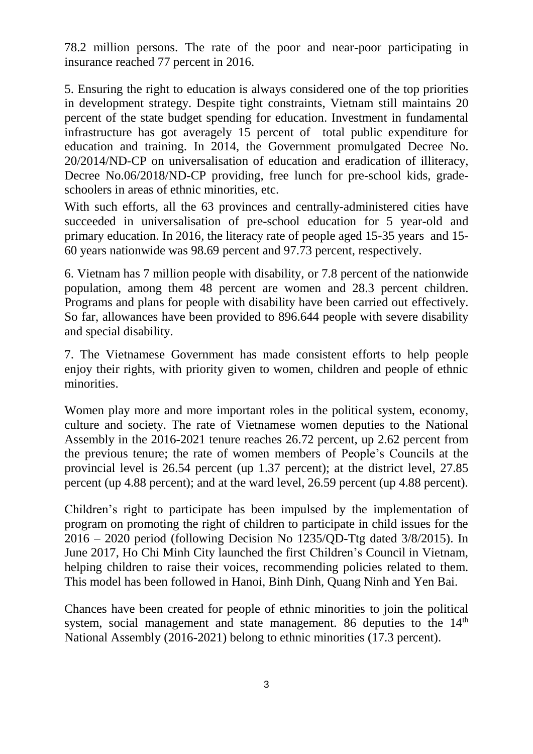78.2 million persons. The rate of the poor and near-poor participating in insurance reached 77 percent in 2016.

5. Ensuring the right to education is always considered one of the top priorities in development strategy. Despite tight constraints, Vietnam still maintains 20 percent of the state budget spending for education. Investment in fundamental infrastructure has got averagely 15 percent of total public expenditure for education and training. In 2014, the Government promulgated Decree No. 20/2014/ND-CP on universalisation of education and eradication of illiteracy, Decree No.06/2018/ND-CP providing, free lunch for pre-school kids, gradeschoolers in areas of ethnic minorities, etc.

With such efforts, all the 63 provinces and centrally-administered cities have succeeded in universalisation of pre-school education for 5 year-old and primary education. In 2016, the literacy rate of people aged 15-35 years and 15- 60 years nationwide was 98.69 percent and 97.73 percent, respectively.

6. Vietnam has 7 million people with disability, or 7.8 percent of the nationwide population, among them 48 percent are women and 28.3 percent children. Programs and plans for people with disability have been carried out effectively. So far, allowances have been provided to 896.644 people with severe disability and special disability.

7. The Vietnamese Government has made consistent efforts to help people enjoy their rights, with priority given to women, children and people of ethnic minorities.

Women play more and more important roles in the political system, economy, culture and society. The rate of Vietnamese women deputies to the National Assembly in the 2016-2021 tenure reaches 26.72 percent, up 2.62 percent from the previous tenure; the rate of women members of People's Councils at the provincial level is 26.54 percent (up 1.37 percent); at the district level, 27.85 percent (up 4.88 percent); and at the ward level, 26.59 percent (up 4.88 percent).

Children's right to participate has been impulsed by the implementation of program on promoting the right of children to participate in child issues for the 2016 – 2020 period (following Decision No 1235/QD-Ttg dated 3/8/2015). In June 2017, Ho Chi Minh City launched the first Children's Council in Vietnam, helping children to raise their voices, recommending policies related to them. This model has been followed in Hanoi, Binh Dinh, Quang Ninh and Yen Bai.

Chances have been created for people of ethnic minorities to join the political system, social management and state management. 86 deputies to the 14<sup>th</sup> National Assembly (2016-2021) belong to ethnic minorities (17.3 percent).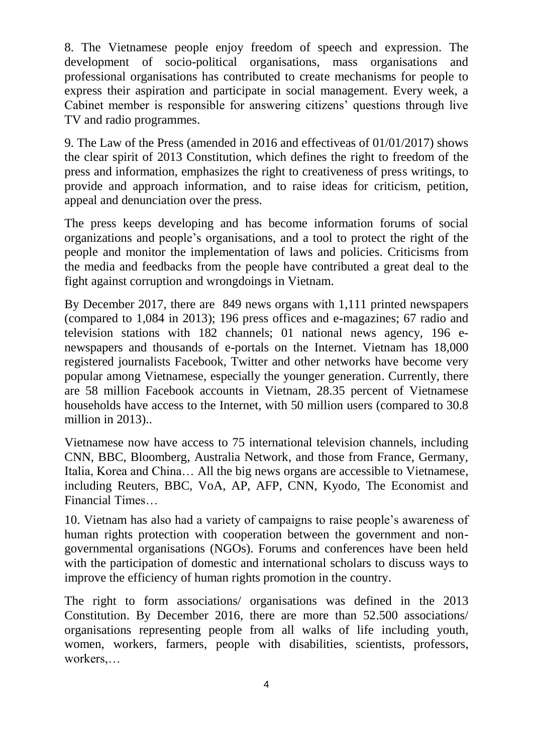8. The Vietnamese people enjoy freedom of speech and expression. The development of socio-political organisations, mass organisations and professional organisations has contributed to create mechanisms for people to express their aspiration and participate in social management. Every week, a Cabinet member is responsible for answering citizens' questions through live TV and radio programmes.

9. The Law of the Press (amended in 2016 and effectiveas of 01/01/2017) shows the clear spirit of 2013 Constitution, which defines the right to freedom of the press and information, emphasizes the right to creativeness of press writings, to provide and approach information, and to raise ideas for criticism, petition, appeal and denunciation over the press.

The press keeps developing and has become information forums of social organizations and people's organisations, and a tool to protect the right of the people and monitor the implementation of laws and policies. Criticisms from the media and feedbacks from the people have contributed a great deal to the fight against corruption and wrongdoings in Vietnam.

By December 2017, there are 849 news organs with 1,111 printed newspapers (compared to 1,084 in 2013); 196 press offices and e-magazines; 67 radio and television stations with 182 channels; 01 national news agency, 196 enewspapers and thousands of e-portals on the Internet. Vietnam has 18,000 registered journalists Facebook, Twitter and other networks have become very popular among Vietnamese, especially the younger generation. Currently, there are 58 million Facebook accounts in Vietnam, 28.35 percent of Vietnamese households have access to the Internet, with 50 million users (compared to 30.8 million in 2013)..

Vietnamese now have access to 75 international television channels, including CNN, BBC, Bloomberg, Australia Network, and those from France, Germany, Italia, Korea and China… All the big news organs are accessible to Vietnamese, including Reuters, BBC, VoA, AP, AFP, CNN, Kyodo, The Economist and Financial Times…

10. Vietnam has also had a variety of campaigns to raise people's awareness of human rights protection with cooperation between the government and nongovernmental organisations (NGOs). Forums and conferences have been held with the participation of domestic and international scholars to discuss ways to improve the efficiency of human rights promotion in the country.

The right to form associations/ organisations was defined in the 2013 Constitution. By December 2016, there are more than 52.500 associations/ organisations representing people from all walks of life including youth, women, workers, farmers, people with disabilities, scientists, professors, workers,…